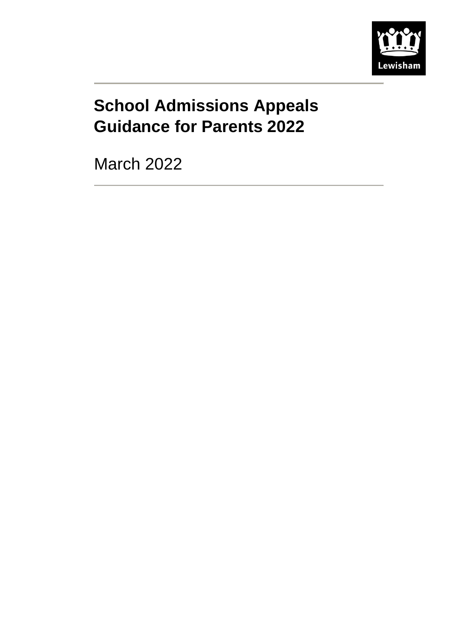

# **School Admissions Appeals Guidance for Parents 2022**

March 2022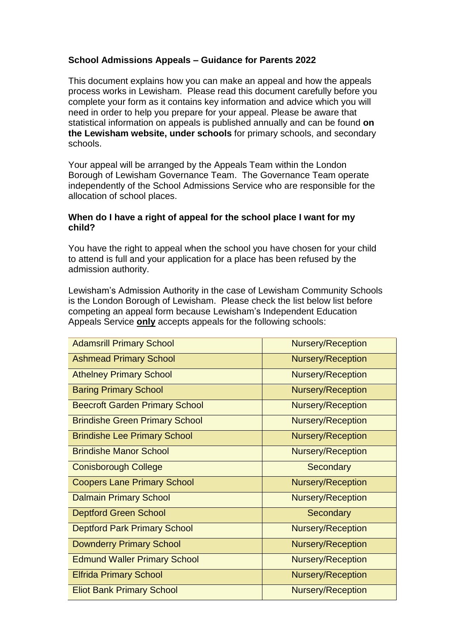# **School Admissions Appeals – Guidance for Parents 2022**

This document explains how you can make an appeal and how the appeals process works in Lewisham. Please read this document carefully before you complete your form as it contains key information and advice which you will need in order to help you prepare for your appeal. Please be aware that statistical information on appeals is published annually and can be found **[on](http://www.lewisham.gov.uk/myservices/education/schools/school-admission/applying-to-start-primary-school/Documents/StartingSchoolinLewisham2013.pdf)  [the Lewisham](http://www.lewisham.gov.uk/myservices/education/schools/school-admission/applying-to-start-primary-school/Documents/StartingSchoolinLewisham2013.pdf) website, under schools** for primary schools, and secondary schools.

Your appeal will be arranged by the Appeals Team within the London Borough of Lewisham Governance Team. The Governance Team operate independently of the School Admissions Service who are responsible for the allocation of school places.

#### **When do I have a right of appeal for the school place I want for my child?**

You have the right to appeal when the school you have chosen for your child to attend is full and your application for a place has been refused by the admission authority.

Lewisham's Admission Authority in the case of Lewisham Community Schools is the London Borough of Lewisham. Please check the list below list before competing an appeal form because Lewisham's Independent Education Appeals Service **only** accepts appeals for the following schools:

| <b>Adamsrill Primary School</b>       | <b>Nursery/Reception</b> |
|---------------------------------------|--------------------------|
| <b>Ashmead Primary School</b>         | <b>Nursery/Reception</b> |
| <b>Athelney Primary School</b>        | <b>Nursery/Reception</b> |
| <b>Baring Primary School</b>          | <b>Nursery/Reception</b> |
| <b>Beecroft Garden Primary School</b> | <b>Nursery/Reception</b> |
| <b>Brindishe Green Primary School</b> | <b>Nursery/Reception</b> |
| <b>Brindishe Lee Primary School</b>   | <b>Nursery/Reception</b> |
| <b>Brindishe Manor School</b>         | <b>Nursery/Reception</b> |
| <b>Conisborough College</b>           | Secondary                |
| <b>Coopers Lane Primary School</b>    | <b>Nursery/Reception</b> |
| <b>Dalmain Primary School</b>         | <b>Nursery/Reception</b> |
| <b>Deptford Green School</b>          | Secondary                |
| <b>Deptford Park Primary School</b>   | <b>Nursery/Reception</b> |
| <b>Downderry Primary School</b>       | <b>Nursery/Reception</b> |
| <b>Edmund Waller Primary School</b>   | <b>Nursery/Reception</b> |
| <b>Elfrida Primary School</b>         | <b>Nursery/Reception</b> |
| <b>Eliot Bank Primary School</b>      | <b>Nursery/Reception</b> |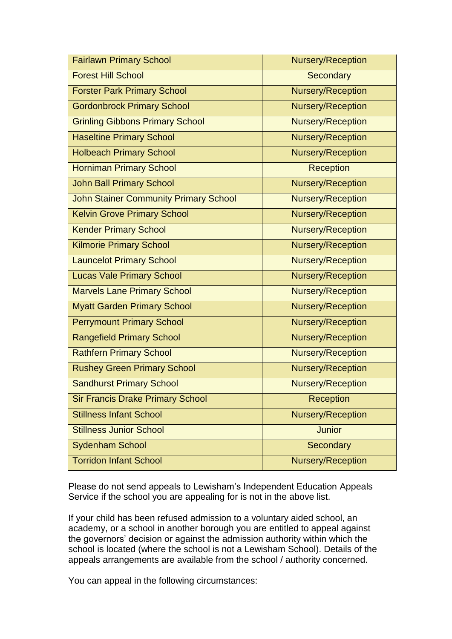| <b>Fairlawn Primary School</b>               | <b>Nursery/Reception</b> |  |
|----------------------------------------------|--------------------------|--|
| <b>Forest Hill School</b>                    | <b>Secondary</b>         |  |
| <b>Forster Park Primary School</b>           | Nursery/Reception        |  |
| <b>Gordonbrock Primary School</b>            | Nursery/Reception        |  |
| <b>Grinling Gibbons Primary School</b>       | Nursery/Reception        |  |
| <b>Haseltine Primary School</b>              | <b>Nursery/Reception</b> |  |
| <b>Holbeach Primary School</b>               | Nursery/Reception        |  |
| <b>Horniman Primary School</b>               | <b>Reception</b>         |  |
| <b>John Ball Primary School</b>              | Nursery/Reception        |  |
| <b>John Stainer Community Primary School</b> | Nursery/Reception        |  |
| <b>Kelvin Grove Primary School</b>           | <b>Nursery/Reception</b> |  |
| <b>Kender Primary School</b>                 | Nursery/Reception        |  |
| <b>Kilmorie Primary School</b>               | Nursery/Reception        |  |
| <b>Launcelot Primary School</b>              | <b>Nursery/Reception</b> |  |
| <b>Lucas Vale Primary School</b>             | Nursery/Reception        |  |
| <b>Marvels Lane Primary School</b>           | Nursery/Reception        |  |
| <b>Myatt Garden Primary School</b>           | <b>Nursery/Reception</b> |  |
| <b>Perrymount Primary School</b>             | Nursery/Reception        |  |
| <b>Rangefield Primary School</b>             | Nursery/Reception        |  |
| <b>Rathfern Primary School</b>               | <b>Nursery/Reception</b> |  |
| <b>Rushey Green Primary School</b>           | Nursery/Reception        |  |
| <b>Sandhurst Primary School</b>              | Nursery/Reception        |  |
| <b>Sir Francis Drake Primary School</b>      | <b>Reception</b>         |  |
| <b>Stillness Infant School</b>               | <b>Nursery/Reception</b> |  |
| <b>Stillness Junior School</b>               | <b>Junior</b>            |  |
| <b>Sydenham School</b>                       | Secondary                |  |
| <b>Torridon Infant School</b>                | Nursery/Reception        |  |

Please do not send appeals to Lewisham's Independent Education Appeals Service if the school you are appealing for is not in the above list.

If your child has been refused admission to a voluntary aided school, an academy, or a school in another borough you are entitled to appeal against the governors' decision or against the admission authority within which the school is located (where the school is not a Lewisham School). Details of the appeals arrangements are available from the school / authority concerned.

You can appeal in the following circumstances: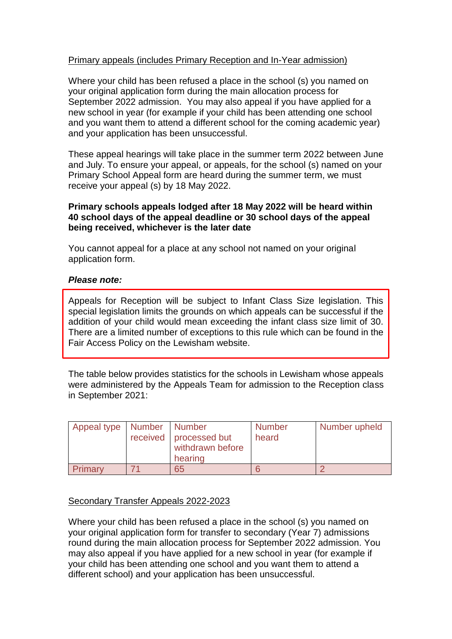# Primary appeals (includes Primary Reception and In-Year admission)

Where your child has been refused a place in the school (s) you named on your original application form during the main allocation process for September 2022 admission. You may also appeal if you have applied for a new school in year (for example if your child has been attending one school and you want them to attend a different school for the coming academic year) and your application has been unsuccessful.

These appeal hearings will take place in the summer term 2022 between June and July. To ensure your appeal, or appeals, for the school (s) named on your Primary School Appeal form are heard during the summer term, we must receive your appeal (s) by 18 May 2022.

## **Primary schools appeals lodged after 18 May 2022 will be heard within 40 school days of the appeal deadline or 30 school days of the appeal being received, whichever is the later date**

You cannot appeal for a place at any school not named on your original application form.

## *Please note:*

Appeals for Reception will be subject to Infant Class Size legislation. This special legislation limits the grounds on which appeals can be successful if the addition of your child would mean exceeding the infant class size limit of 30. There are a limited number of exceptions to this rule which can be found in the Fair Access Policy on the Lewisham website.

The table below provides statistics for the schools in Lewisham whose appeals were administered by the Appeals Team for admission to the Reception class in September 2021:

| Appeal type   Number   Number | received   processed but<br>withdrawn before<br>hearing | <b>Number</b><br>heard | Number upheld |
|-------------------------------|---------------------------------------------------------|------------------------|---------------|
| Primary                       | 65                                                      |                        |               |

## Secondary Transfer Appeals 2022-2023

Where your child has been refused a place in the school (s) you named on your original application form for transfer to secondary (Year 7) admissions round during the main allocation process for September 2022 admission. You may also appeal if you have applied for a new school in year (for example if your child has been attending one school and you want them to attend a different school) and your application has been unsuccessful.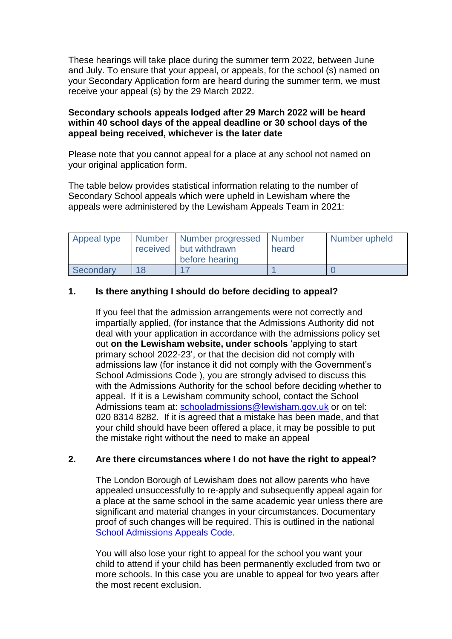These hearings will take place during the summer term 2022, between June and July. To ensure that your appeal, or appeals, for the school (s) named on your Secondary Application form are heard during the summer term, we must receive your appeal (s) by the 29 March 2022.

#### **Secondary schools appeals lodged after 29 March 2022 will be heard within 40 school days of the appeal deadline or 30 school days of the appeal being received, whichever is the later date**

Please note that you cannot appeal for a place at any school not named on your original application form.

The table below provides statistical information relating to the number of Secondary School appeals which were upheld in Lewisham where the appeals were administered by the Lewisham Appeals Team in 2021:

| Appeal type | Number   Number progressed   Number<br>received   but withdrawn | heard | Number upheld |
|-------------|-----------------------------------------------------------------|-------|---------------|
|             | before hearing                                                  |       |               |
| Secondary   |                                                                 |       |               |

# **1. Is there anything I should do before deciding to appeal?**

If you feel that the admission arrangements were not correctly and impartially applied, (for instance that the Admissions Authority did not deal with your application in accordance with the admissions policy set out **[on the Lewisham](http://www.lewisham.gov.uk/myservices/education/schools/school-admission/applying-to-start-primary-school/Documents/StartingSchoolinLewisham2013.pdf) website, under schools** 'applying to start primary school 2022-23', or that the decision did not comply with admissions law (for instance it did not comply with the Government's School Admissions Code ), you are strongly advised to discuss this with the Admissions Authority for the school before deciding whether to appeal. If it is a Lewisham community school, contact the School Admissions team at: [schooladmissions@lewisham.gov.uk](mailto:schooladmissions@lewisham.gov.uk) or on tel: 020 8314 8282. If it is agreed that a mistake has been made, and that your child should have been offered a place, it may be possible to put the mistake right without the need to make an appeal

## **2. Are there circumstances where I do not have the right to appeal?**

The London Borough of Lewisham does not allow parents who have appealed unsuccessfully to re-apply and subsequently appeal again for a place at the same school in the same academic year unless there are significant and material changes in your circumstances. Documentary proof of such changes will be required. This is outlined in the national [School Admissions Appeals Code.](http://media.education.gov.uk/assets/files/pdf/s/school%20admission%20appeals%20code%201%20february%202012.pdf)

You will also lose your right to appeal for the school you want your child to attend if your child has been permanently excluded from two or more schools. In this case you are unable to appeal for two years after the most recent exclusion.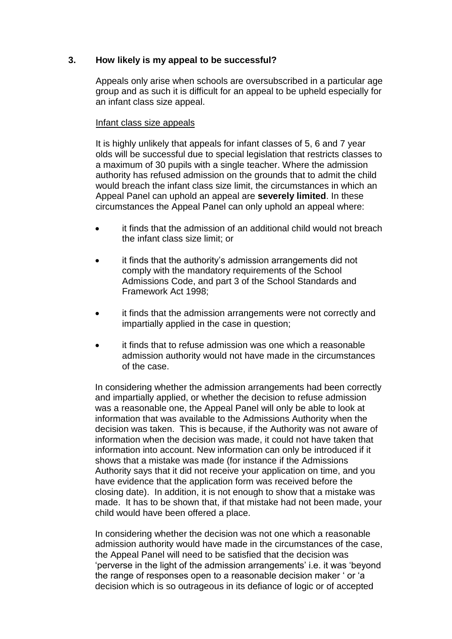## **3. How likely is my appeal to be successful?**

Appeals only arise when schools are oversubscribed in a particular age group and as such it is difficult for an appeal to be upheld especially for an infant class size appeal.

#### Infant class size appeals

It is highly unlikely that appeals for infant classes of 5, 6 and 7 year olds will be successful due to special legislation that restricts classes to a maximum of 30 pupils with a single teacher. Where the admission authority has refused admission on the grounds that to admit the child would breach the infant class size limit, the circumstances in which an Appeal Panel can uphold an appeal are **severely limited**. In these circumstances the Appeal Panel can only uphold an appeal where:

- it finds that the admission of an additional child would not breach the infant class size limit; or
- it finds that the authority's admission arrangements did not comply with the mandatory requirements of the School Admissions Code, and part 3 of the School Standards and Framework Act 1998;
- it finds that the admission arrangements were not correctly and impartially applied in the case in question;
- it finds that to refuse admission was one which a reasonable admission authority would not have made in the circumstances of the case.

In considering whether the admission arrangements had been correctly and impartially applied, or whether the decision to refuse admission was a reasonable one, the Appeal Panel will only be able to look at information that was available to the Admissions Authority when the decision was taken. This is because, if the Authority was not aware of information when the decision was made, it could not have taken that information into account. New information can only be introduced if it shows that a mistake was made (for instance if the Admissions Authority says that it did not receive your application on time, and you have evidence that the application form was received before the closing date). In addition, it is not enough to show that a mistake was made. It has to be shown that, if that mistake had not been made, your child would have been offered a place.

In considering whether the decision was not one which a reasonable admission authority would have made in the circumstances of the case, the Appeal Panel will need to be satisfied that the decision was 'perverse in the light of the admission arrangements' i.e. it was 'beyond the range of responses open to a reasonable decision maker ' or 'a decision which is so outrageous in its defiance of logic or of accepted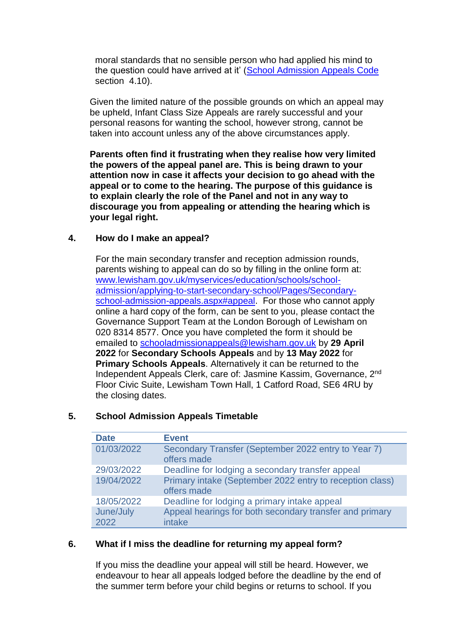moral standards that no sensible person who had applied his mind to the question could have arrived at it' [\(School Admission Appeals Code](http://media.education.gov.uk/assets/files/pdf/s/school%20admission%20appeals%20code%201%20february%202012.pdf) section 4.10).

Given the limited nature of the possible grounds on which an appeal may be upheld, Infant Class Size Appeals are rarely successful and your personal reasons for wanting the school, however strong, cannot be taken into account unless any of the above circumstances apply.

**Parents often find it frustrating when they realise how very limited the powers of the appeal panel are. This is being drawn to your attention now in case it affects your decision to go ahead with the appeal or to come to the hearing. The purpose of this guidance is to explain clearly the role of the Panel and not in any way to discourage you from appealing or attending the hearing which is your legal right.** 

## **4. How do I make an appeal?**

For the main secondary transfer and reception admission rounds, parents wishing to appeal can do so by filling in the online form at: [www.lewisham.gov.uk/myservices/education/schools/school](http://www.lewisham.gov.uk/myservices/education/schools/school-admission/applying-to-start-secondary-school/Pages/Secondary-school-admission-appeals.aspx#appeal)[admission/applying-to-start-secondary-school/Pages/Secondary](http://www.lewisham.gov.uk/myservices/education/schools/school-admission/applying-to-start-secondary-school/Pages/Secondary-school-admission-appeals.aspx#appeal)[school-admission-appeals.aspx#appeal.](http://www.lewisham.gov.uk/myservices/education/schools/school-admission/applying-to-start-secondary-school/Pages/Secondary-school-admission-appeals.aspx#appeal) For those who cannot apply online a hard copy of the form, can be sent to you, please contact the Governance Support Team at the London Borough of Lewisham on 020 8314 8577. Once you have completed the form it should be emailed to [schooladmissionappeals@lewisham.gov.uk](mailto:schooladmissionappeals@lewisham.gov.uk) by **29 April 2022** for **Secondary Schools Appeals** and by **13 May 2022** for **Primary Schools Appeals**. Alternatively it can be returned to the Independent Appeals Clerk, care of: Jasmine Kassim, Governance, 2nd Floor Civic Suite, Lewisham Town Hall, 1 Catford Road, SE6 4RU by the closing dates.

| <b>Date</b>       | <b>Event</b>                                                            |
|-------------------|-------------------------------------------------------------------------|
| 01/03/2022        | Secondary Transfer (September 2022 entry to Year 7)<br>offers made      |
| 29/03/2022        | Deadline for lodging a secondary transfer appeal                        |
| 19/04/2022        | Primary intake (September 2022 entry to reception class)<br>offers made |
| 18/05/2022        | Deadline for lodging a primary intake appeal                            |
| June/July<br>2022 | Appeal hearings for both secondary transfer and primary<br>intake       |

## **5. School Admission Appeals Timetable**

#### **6. What if I miss the deadline for returning my appeal form?**

If you miss the deadline your appeal will still be heard. However, we endeavour to hear all appeals lodged before the deadline by the end of the summer term before your child begins or returns to school. If you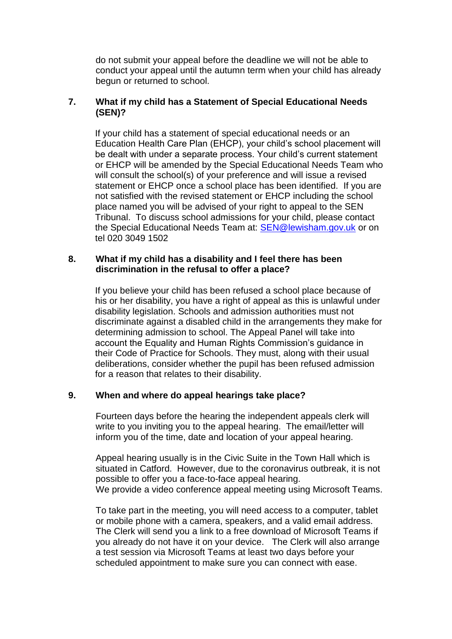do not submit your appeal before the deadline we will not be able to conduct your appeal until the autumn term when your child has already begun or returned to school.

# **7. What if my child has a Statement of Special Educational Needs (SEN)?**

If your child has a statement of special educational needs or an Education Health Care Plan (EHCP), your child's school placement will be dealt with under a separate process. Your child's current statement or EHCP will be amended by the Special Educational Needs Team who will consult the school(s) of your preference and will issue a revised statement or EHCP once a school place has been identified. If you are not satisfied with the revised statement or EHCP including the school place named you will be advised of your right to appeal to the SEN Tribunal. To discuss school admissions for your child, please contact the Special Educational Needs Team at: [SEN@lewisham.gov.uk](mailto:SEN@lewisham.gov.uk) or on tel 020 3049 1502

#### **8. What if my child has a disability and I feel there has been discrimination in the refusal to offer a place?**

If you believe your child has been refused a school place because of his or her disability, you have a right of appeal as this is unlawful under disability legislation. Schools and admission authorities must not discriminate against a disabled child in the arrangements they make for determining admission to school. The Appeal Panel will take into account the Equality and Human Rights Commission's guidance in their Code of Practice for Schools. They must, along with their usual deliberations, consider whether the pupil has been refused admission for a reason that relates to their disability.

## **9. When and where do appeal hearings take place?**

Fourteen days before the hearing the independent appeals clerk will write to you inviting you to the appeal hearing. The email/letter will inform you of the time, date and location of your appeal hearing.

Appeal hearing usually is in the Civic Suite in the Town Hall which is situated in Catford. However, due to the coronavirus outbreak, it is not possible to offer you a face-to-face appeal hearing. We provide a video conference appeal meeting using Microsoft Teams.

To take part in the meeting, you will need access to a computer, tablet or mobile phone with a camera, speakers, and a valid email address. The Clerk will send you a link to a free download of Microsoft Teams if you already do not have it on your device. The Clerk will also arrange a test session via Microsoft Teams at least two days before your scheduled appointment to make sure you can connect with ease.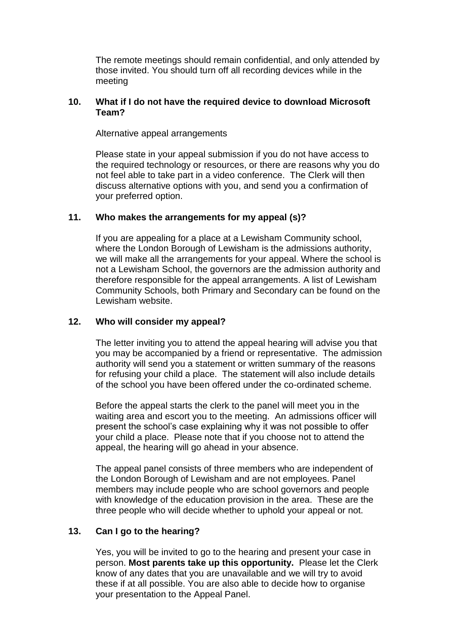The remote meetings should remain confidential, and only attended by those invited. You should turn off all recording devices while in the meeting

## **10. What if I do not have the required device to download Microsoft Team?**

Alternative appeal arrangements

Please state in your appeal submission if you do not have access to the required technology or resources, or there are reasons why you do not feel able to take part in a video conference. The Clerk will then discuss alternative options with you, and send you a confirmation of your preferred option.

# **11. Who makes the arrangements for my appeal (s)?**

If you are appealing for a place at a Lewisham Community school, where the London Borough of Lewisham is the admissions authority. we will make all the arrangements for your appeal. Where the school is not a Lewisham School, the governors are the admission authority and therefore responsible for the appeal arrangements. A list of Lewisham Community Schools, both Primary and Secondary can be found on the Lewisham website.

# **12. Who will consider my appeal?**

The letter inviting you to attend the appeal hearing will advise you that you may be accompanied by a friend or representative. The admission authority will send you a statement or written summary of the reasons for refusing your child a place. The statement will also include details of the school you have been offered under the co-ordinated scheme.

Before the appeal starts the clerk to the panel will meet you in the waiting area and escort you to the meeting. An admissions officer will present the school's case explaining why it was not possible to offer your child a place. Please note that if you choose not to attend the appeal, the hearing will go ahead in your absence.

The appeal panel consists of three members who are independent of the London Borough of Lewisham and are not employees. Panel members may include people who are school governors and people with knowledge of the education provision in the area. These are the three people who will decide whether to uphold your appeal or not.

# **13. Can I go to the hearing?**

Yes, you will be invited to go to the hearing and present your case in person. **Most parents take up this opportunity.** Please let the Clerk know of any dates that you are unavailable and we will try to avoid these if at all possible. You are also able to decide how to organise your presentation to the Appeal Panel.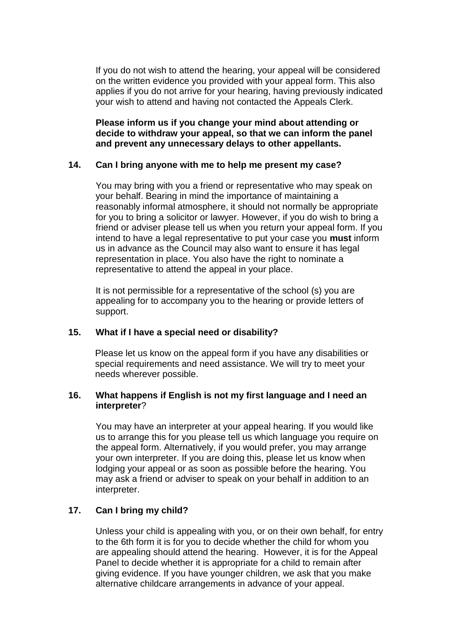If you do not wish to attend the hearing, your appeal will be considered on the written evidence you provided with your appeal form. This also applies if you do not arrive for your hearing, having previously indicated your wish to attend and having not contacted the Appeals Clerk.

**Please inform us if you change your mind about attending or decide to withdraw your appeal, so that we can inform the panel and prevent any unnecessary delays to other appellants.**

## **14. Can I bring anyone with me to help me present my case?**

You may bring with you a friend or representative who may speak on your behalf. Bearing in mind the importance of maintaining a reasonably informal atmosphere, it should not normally be appropriate for you to bring a solicitor or lawyer. However, if you do wish to bring a friend or adviser please tell us when you return your appeal form. If you intend to have a legal representative to put your case you **must** inform us in advance as the Council may also want to ensure it has legal representation in place. You also have the right to nominate a representative to attend the appeal in your place.

It is not permissible for a representative of the school (s) you are appealing for to accompany you to the hearing or provide letters of support.

## **15. What if I have a special need or disability?**

Please let us know on the appeal form if you have any disabilities or special requirements and need assistance. We will try to meet your needs wherever possible.

#### **16. What happens if English is not my first language and I need an interpreter**?

You may have an interpreter at your appeal hearing. If you would like us to arrange this for you please tell us which language you require on the appeal form. Alternatively, if you would prefer, you may arrange your own interpreter. If you are doing this, please let us know when lodging your appeal or as soon as possible before the hearing. You may ask a friend or adviser to speak on your behalf in addition to an interpreter.

## **17. Can I bring my child?**

Unless your child is appealing with you, or on their own behalf, for entry to the 6th form it is for you to decide whether the child for whom you are appealing should attend the hearing. However, it is for the Appeal Panel to decide whether it is appropriate for a child to remain after giving evidence. If you have younger children, we ask that you make alternative childcare arrangements in advance of your appeal.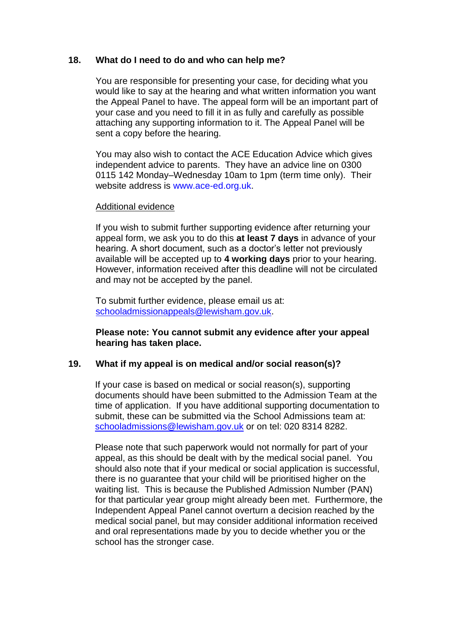#### **18. What do I need to do and who can help me?**

You are responsible for presenting your case, for deciding what you would like to say at the hearing and what written information you want the Appeal Panel to have. The appeal form will be an important part of your case and you need to fill it in as fully and carefully as possible attaching any supporting information to it. The Appeal Panel will be sent a copy before the hearing.

You may also wish to contact the ACE Education Advice which gives independent advice to parents. They have an advice line on 0300 0115 142 Monday–Wednesday 10am to 1pm (term time only). Their website address is [www.ace-ed.org.uk.](http://www.ace-ed.org.uk/)

#### Additional evidence

If you wish to submit further supporting evidence after returning your appeal form, we ask you to do this **at least 7 days** in advance of your hearing. A short document, such as a doctor's letter not previously available will be accepted up to **4 working days** prior to your hearing. However, information received after this deadline will not be circulated and may not be accepted by the panel.

To submit further evidence, please email us at: [schooladmissionappeals@lewisham.gov.uk.](mailto:schooladmissionappeals@lewisham.gov.uk)

#### **Please note: You cannot submit any evidence after your appeal hearing has taken place.**

## **19. What if my appeal is on medical and/or social reason(s)?**

If your case is based on medical or social reason(s), supporting documents should have been submitted to the Admission Team at the time of application. If you have additional supporting documentation to submit, these can be submitted via the School Admissions team at: [schooladmissions@lewisham.gov.uk](mailto:schooladmissions@lewisham.gov.uk) or on tel: 020 8314 8282.

Please note that such paperwork would not normally for part of your appeal, as this should be dealt with by the medical social panel. You should also note that if your medical or social application is successful, there is no guarantee that your child will be prioritised higher on the waiting list. This is because the Published Admission Number (PAN) for that particular year group might already been met. Furthermore, the Independent Appeal Panel cannot overturn a decision reached by the medical social panel, but may consider additional information received and oral representations made by you to decide whether you or the school has the stronger case.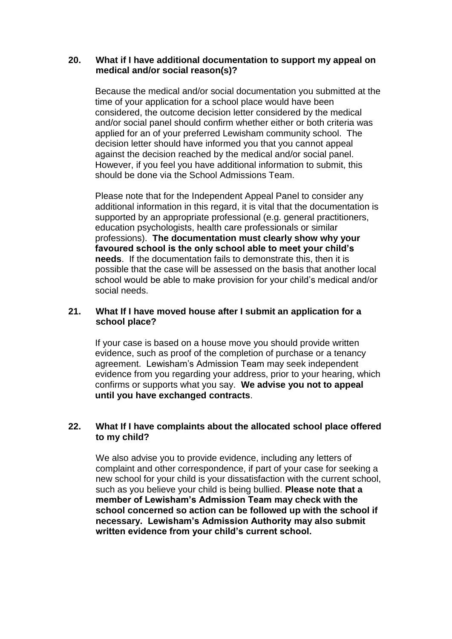#### **20. What if I have additional documentation to support my appeal on medical and/or social reason(s)?**

Because the medical and/or social documentation you submitted at the time of your application for a school place would have been considered, the outcome decision letter considered by the medical and/or social panel should confirm whether either or both criteria was applied for an of your preferred Lewisham community school. The decision letter should have informed you that you cannot appeal against the decision reached by the medical and/or social panel. However, if you feel you have additional information to submit, this should be done via the School Admissions Team.

Please note that for the Independent Appeal Panel to consider any additional information in this regard, it is vital that the documentation is supported by an appropriate professional (e.g. general practitioners, education psychologists, health care professionals or similar professions). **The documentation must clearly show why your favoured school is the only school able to meet your child's needs**. If the documentation fails to demonstrate this, then it is possible that the case will be assessed on the basis that another local school would be able to make provision for your child's medical and/or social needs.

#### **21. What If I have moved house after I submit an application for a school place?**

If your case is based on a house move you should provide written evidence, such as proof of the completion of purchase or a tenancy agreement. Lewisham's Admission Team may seek independent evidence from you regarding your address, prior to your hearing, which confirms or supports what you say. **We advise you not to appeal until you have exchanged contracts**.

# **22. What If I have complaints about the allocated school place offered to my child?**

We also advise you to provide evidence, including any letters of complaint and other correspondence, if part of your case for seeking a new school for your child is your dissatisfaction with the current school, such as you believe your child is being bullied. **Please note that a member of Lewisham's Admission Team may check with the school concerned so action can be followed up with the school if necessary. Lewisham's Admission Authority may also submit written evidence from your child's current school.**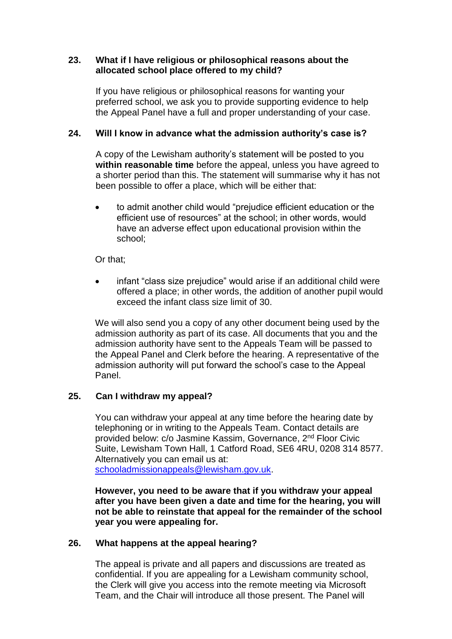## **23. What if I have religious or philosophical reasons about the allocated school place offered to my child?**

If you have religious or philosophical reasons for wanting your preferred school, we ask you to provide supporting evidence to help the Appeal Panel have a full and proper understanding of your case.

## **24. Will I know in advance what the admission authority's case is?**

A copy of the Lewisham authority's statement will be posted to you **within reasonable time** before the appeal, unless you have agreed to a shorter period than this. The statement will summarise why it has not been possible to offer a place, which will be either that:

 to admit another child would "prejudice efficient education or the efficient use of resources" at the school; in other words, would have an adverse effect upon educational provision within the school;

Or that;

 infant "class size prejudice" would arise if an additional child were offered a place; in other words, the addition of another pupil would exceed the infant class size limit of 30.

We will also send you a copy of any other document being used by the admission authority as part of its case. All documents that you and the admission authority have sent to the Appeals Team will be passed to the Appeal Panel and Clerk before the hearing. A representative of the admission authority will put forward the school's case to the Appeal Panel.

## **25. Can I withdraw my appeal?**

You can withdraw your appeal at any time before the hearing date by telephoning or in writing to the Appeals Team. Contact details are provided below: c/o Jasmine Kassim, Governance, 2nd Floor Civic Suite, Lewisham Town Hall, 1 Catford Road, SE6 4RU, 0208 314 8577. Alternatively you can email us at: [schooladmissionappeals@lewisham.gov.uk.](mailto:schooladmissionappeals@lewisham.gov.uk)

**However, you need to be aware that if you withdraw your appeal after you have been given a date and time for the hearing, you will not be able to reinstate that appeal for the remainder of the school year you were appealing for.**

## **26. What happens at the appeal hearing?**

The appeal is private and all papers and discussions are treated as confidential. If you are appealing for a Lewisham community school, the Clerk will give you access into the remote meeting via Microsoft Team, and the Chair will introduce all those present. The Panel will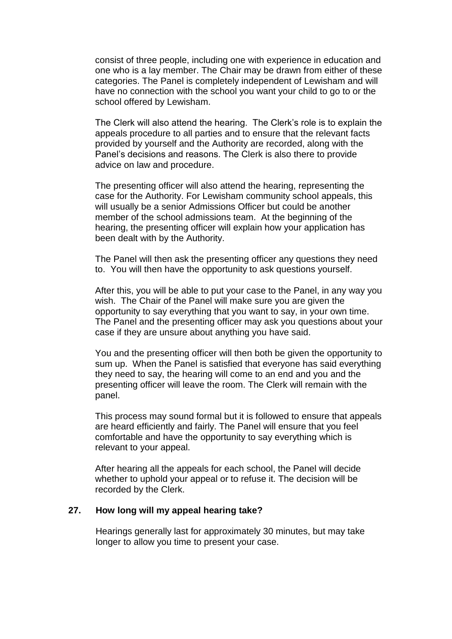consist of three people, including one with experience in education and one who is a lay member. The Chair may be drawn from either of these categories. The Panel is completely independent of Lewisham and will have no connection with the school you want your child to go to or the school offered by Lewisham.

The Clerk will also attend the hearing. The Clerk's role is to explain the appeals procedure to all parties and to ensure that the relevant facts provided by yourself and the Authority are recorded, along with the Panel's decisions and reasons. The Clerk is also there to provide advice on law and procedure.

The presenting officer will also attend the hearing, representing the case for the Authority. For Lewisham community school appeals, this will usually be a senior Admissions Officer but could be another member of the school admissions team. At the beginning of the hearing, the presenting officer will explain how your application has been dealt with by the Authority.

The Panel will then ask the presenting officer any questions they need to. You will then have the opportunity to ask questions yourself.

After this, you will be able to put your case to the Panel, in any way you wish. The Chair of the Panel will make sure you are given the opportunity to say everything that you want to say, in your own time. The Panel and the presenting officer may ask you questions about your case if they are unsure about anything you have said.

You and the presenting officer will then both be given the opportunity to sum up. When the Panel is satisfied that everyone has said everything they need to say, the hearing will come to an end and you and the presenting officer will leave the room. The Clerk will remain with the panel.

This process may sound formal but it is followed to ensure that appeals are heard efficiently and fairly. The Panel will ensure that you feel comfortable and have the opportunity to say everything which is relevant to your appeal.

After hearing all the appeals for each school, the Panel will decide whether to uphold your appeal or to refuse it. The decision will be recorded by the Clerk.

# **27. How long will my appeal hearing take?**

Hearings generally last for approximately 30 minutes, but may take longer to allow you time to present your case.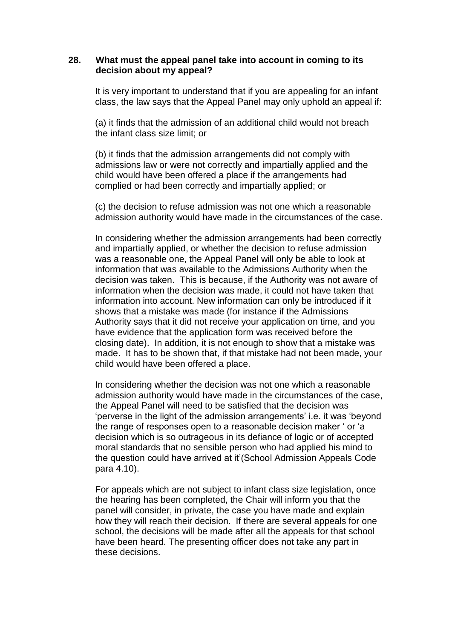#### **28. What must the appeal panel take into account in coming to its decision about my appeal?**

It is very important to understand that if you are appealing for an infant class, the law says that the Appeal Panel may only uphold an appeal if:

(a) it finds that the admission of an additional child would not breach the infant class size limit; or

(b) it finds that the admission arrangements did not comply with admissions law or were not correctly and impartially applied and the child would have been offered a place if the arrangements had complied or had been correctly and impartially applied; or

(c) the decision to refuse admission was not one which a reasonable admission authority would have made in the circumstances of the case.

In considering whether the admission arrangements had been correctly and impartially applied, or whether the decision to refuse admission was a reasonable one, the Appeal Panel will only be able to look at information that was available to the Admissions Authority when the decision was taken. This is because, if the Authority was not aware of information when the decision was made, it could not have taken that information into account. New information can only be introduced if it shows that a mistake was made (for instance if the Admissions Authority says that it did not receive your application on time, and you have evidence that the application form was received before the closing date). In addition, it is not enough to show that a mistake was made. It has to be shown that, if that mistake had not been made, your child would have been offered a place.

In considering whether the decision was not one which a reasonable admission authority would have made in the circumstances of the case, the Appeal Panel will need to be satisfied that the decision was 'perverse in the light of the admission arrangements' i.e. it was 'beyond the range of responses open to a reasonable decision maker ' or 'a decision which is so outrageous in its defiance of logic or of accepted moral standards that no sensible person who had applied his mind to the question could have arrived at it'(School Admission Appeals Code para 4.10).

For appeals which are not subject to infant class size legislation, once the hearing has been completed, the Chair will inform you that the panel will consider, in private, the case you have made and explain how they will reach their decision. If there are several appeals for one school, the decisions will be made after all the appeals for that school have been heard. The presenting officer does not take any part in these decisions.